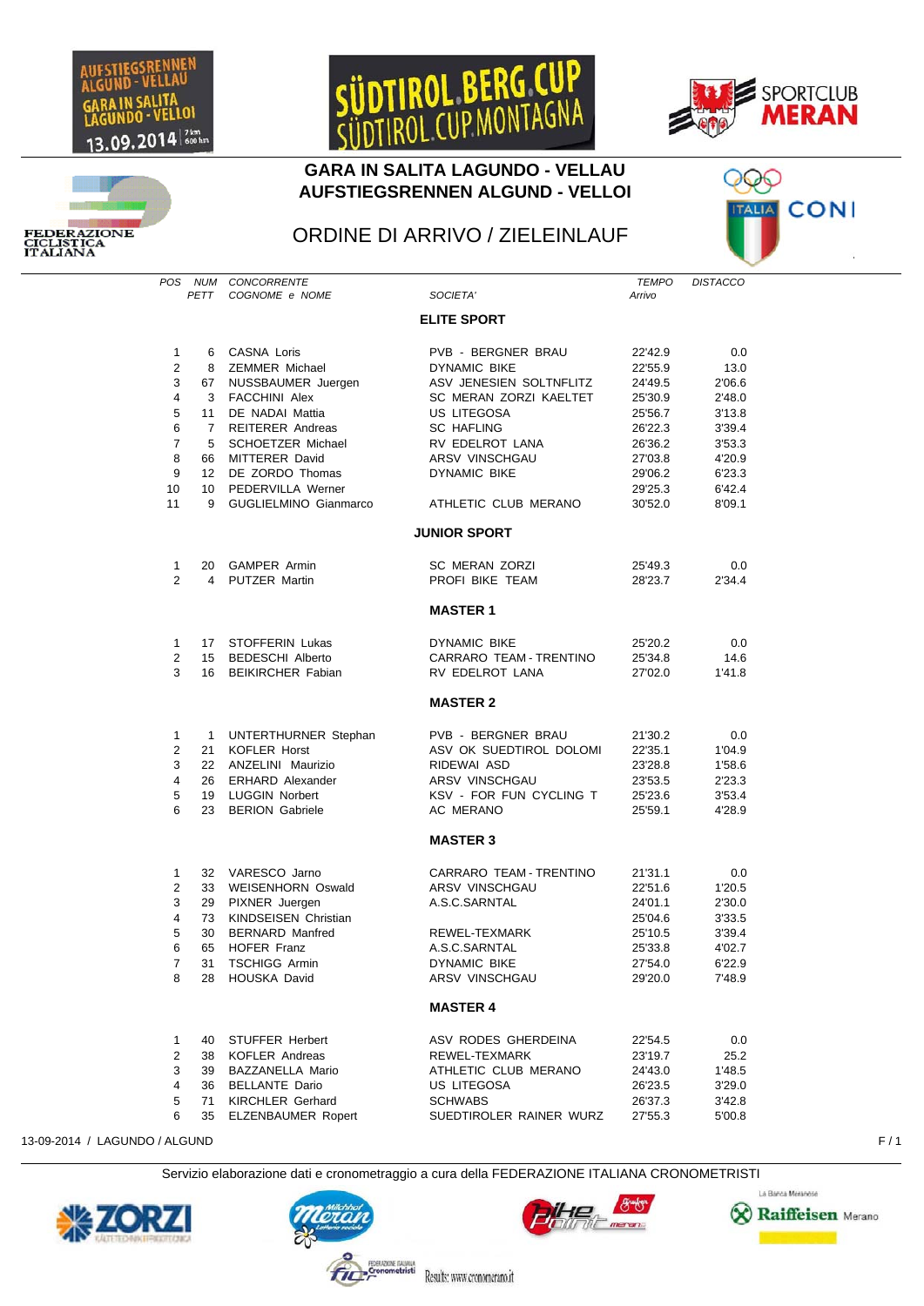

**EDERAZIONE** LISTIC.<br>LIANA









## ORDINE DI ARRIVO / ZIELEINLAUF

*POS NUM CONCORRENTE TEMPO DISTACCO* COGNOME e NOME

## **ELITE SPORT**

| 1<br>$\overline{2}$<br>3<br>4<br>5<br>6<br>$\overline{7}$<br>8<br>9<br>10<br>11 | 6<br>8<br>67<br>3<br>11<br>$\overline{7}$<br>5<br>66<br>12 <sup>2</sup><br>10 <sup>1</sup><br>9 | <b>CASNA Loris</b><br><b>ZEMMER Michael</b><br>NUSSBAUMER Juergen<br><b>FACCHINI Alex</b><br>DE NADAI Mattia<br><b>REITERER Andreas</b><br><b>SCHOETZER Michael</b><br>MITTERER David<br>DE ZORDO Thomas<br>PEDERVILLA Werner<br>GUGLIELMINO Gianmarco | PVB - BERGNER BRAU<br><b>DYNAMIC BIKE</b><br>ASV JENESIEN SOLTNFLITZ<br>SC MERAN ZORZI KAELTET<br>US LITEGOSA<br><b>SC HAFLING</b><br>RV EDELROT LANA<br>ARSV VINSCHGAU<br>DYNAMIC BIKE<br>ATHLETIC CLUB MERANO | 22'42.9<br>22'55.9<br>24'49.5<br>25'30.9<br>25'56.7<br>26'22.3<br>26'36.2<br>27'03.8<br>29'06.2<br>29'25.3<br>30'52.0 | 0.0<br>13.0<br>2'06.6<br>2'48.0<br>3'13.8<br>3'39.4<br>3'53.3<br>4'20.9<br>6'23.3<br>6'42.4<br>8'09.1 |
|---------------------------------------------------------------------------------|-------------------------------------------------------------------------------------------------|--------------------------------------------------------------------------------------------------------------------------------------------------------------------------------------------------------------------------------------------------------|-----------------------------------------------------------------------------------------------------------------------------------------------------------------------------------------------------------------|-----------------------------------------------------------------------------------------------------------------------|-------------------------------------------------------------------------------------------------------|
|                                                                                 |                                                                                                 |                                                                                                                                                                                                                                                        | <b>JUNIOR SPORT</b>                                                                                                                                                                                             |                                                                                                                       |                                                                                                       |
| 1<br>$\overline{2}$                                                             | 20<br>4                                                                                         | <b>GAMPER Armin</b><br><b>PUTZER Martin</b>                                                                                                                                                                                                            | SC MERAN ZORZI<br>PROFI BIKE TEAM                                                                                                                                                                               | 25'49.3<br>28'23.7                                                                                                    | 0.0<br>2'34.4                                                                                         |
|                                                                                 |                                                                                                 |                                                                                                                                                                                                                                                        | <b>MASTER 1</b>                                                                                                                                                                                                 |                                                                                                                       |                                                                                                       |
| 1<br>2<br>3                                                                     | 17<br>15<br>16                                                                                  | STOFFERIN Lukas<br><b>BEDESCHI Alberto</b><br><b>BEIKIRCHER Fabian</b>                                                                                                                                                                                 | <b>DYNAMIC BIKE</b><br>CARRARO TEAM - TRENTINO<br>RV EDELROT LANA                                                                                                                                               | 25'20.2<br>25'34.8<br>27'02.0                                                                                         | 0.0<br>14.6<br>1'41.8                                                                                 |
|                                                                                 |                                                                                                 |                                                                                                                                                                                                                                                        | <b>MASTER 2</b>                                                                                                                                                                                                 |                                                                                                                       |                                                                                                       |
| 1<br>$\overline{2}$<br>3<br>4<br>5<br>6                                         | $\mathbf{1}$<br>21<br>22<br>26<br>19<br>23                                                      | UNTERTHURNER Stephan<br><b>KOFLER Horst</b><br>ANZELINI Maurizio<br><b>ERHARD Alexander</b><br><b>LUGGIN Norbert</b><br><b>BERION Gabriele</b>                                                                                                         | PVB - BERGNER BRAU<br>ASV OK SUEDTIROL DOLOMI<br>RIDEWAI ASD<br>ARSV VINSCHGAU<br>KSV - FOR FUN CYCLING T<br>AC MERANO                                                                                          | 21'30.2<br>22'35.1<br>23'28.8<br>23'53.5<br>25'23.6<br>25'59.1                                                        | 0.0<br>1'04.9<br>1'58.6<br>2'23.3<br>3'53.4<br>4'28.9                                                 |
|                                                                                 |                                                                                                 |                                                                                                                                                                                                                                                        | <b>MASTER 3</b>                                                                                                                                                                                                 |                                                                                                                       |                                                                                                       |
| 1<br>$\overline{2}$<br>3<br>4<br>5<br>6<br>7<br>8                               | 32<br>33<br>29<br>73<br>30<br>65<br>31<br>28                                                    | VARESCO Jarno<br><b>WEISENHORN Oswald</b><br>PIXNER Juergen<br>KINDSEISEN Christian<br><b>BERNARD Manfred</b><br>HOFER Franz<br><b>TSCHIGG Armin</b><br>HOUSKA David                                                                                   | CARRARO TEAM - TRENTINO<br>ARSV VINSCHGAU<br>A.S.C.SARNTAL<br>REWEL-TEXMARK<br>A.S.C.SARNTAL<br><b>DYNAMIC BIKE</b><br>ARSV VINSCHGAU                                                                           | 21'31.1<br>22'51.6<br>24'01.1<br>25'04.6<br>25'10.5<br>25'33.8<br>27'54.0<br>29'20.0                                  | 0.0<br>1'20.5<br>2'30.0<br>3'33.5<br>3'39.4<br>4'02.7<br>6'22.9<br>7'48.9                             |
|                                                                                 |                                                                                                 |                                                                                                                                                                                                                                                        | <b>MASTER 4</b>                                                                                                                                                                                                 |                                                                                                                       |                                                                                                       |
| 1<br>2<br>3<br>4<br>5<br>6                                                      | 40<br>38<br>39<br>36<br>71<br>35                                                                | <b>STUFFER Herbert</b><br><b>KOFLER Andreas</b><br>BAZZANELLA Mario<br><b>BELLANTE Dario</b><br><b>KIRCHLER Gerhard</b><br><b>ELZENBAUMER Ropert</b>                                                                                                   | ASV RODES GHERDEINA<br>REWEL-TEXMARK<br>ATHLETIC CLUB MERANO<br><b>US LITEGOSA</b><br><b>SCHWABS</b><br>SUEDTIROLER RAINER WURZ                                                                                 | 22'54.5<br>23'19.7<br>24'43.0<br>26'23.5<br>26'37.3<br>27'55.3                                                        | 0.0<br>25.2<br>1'48.5<br>3'29.0<br>3'42.8<br>5'00.8                                                   |

13-09-2014 / LAGUNDO / ALGUND F / 1

Servizio elaborazione dati e cronometraggio a cura della FEDERAZIONE ITALIANA CRONOMETRISTI

Results: www.cronomerano.it

tristi







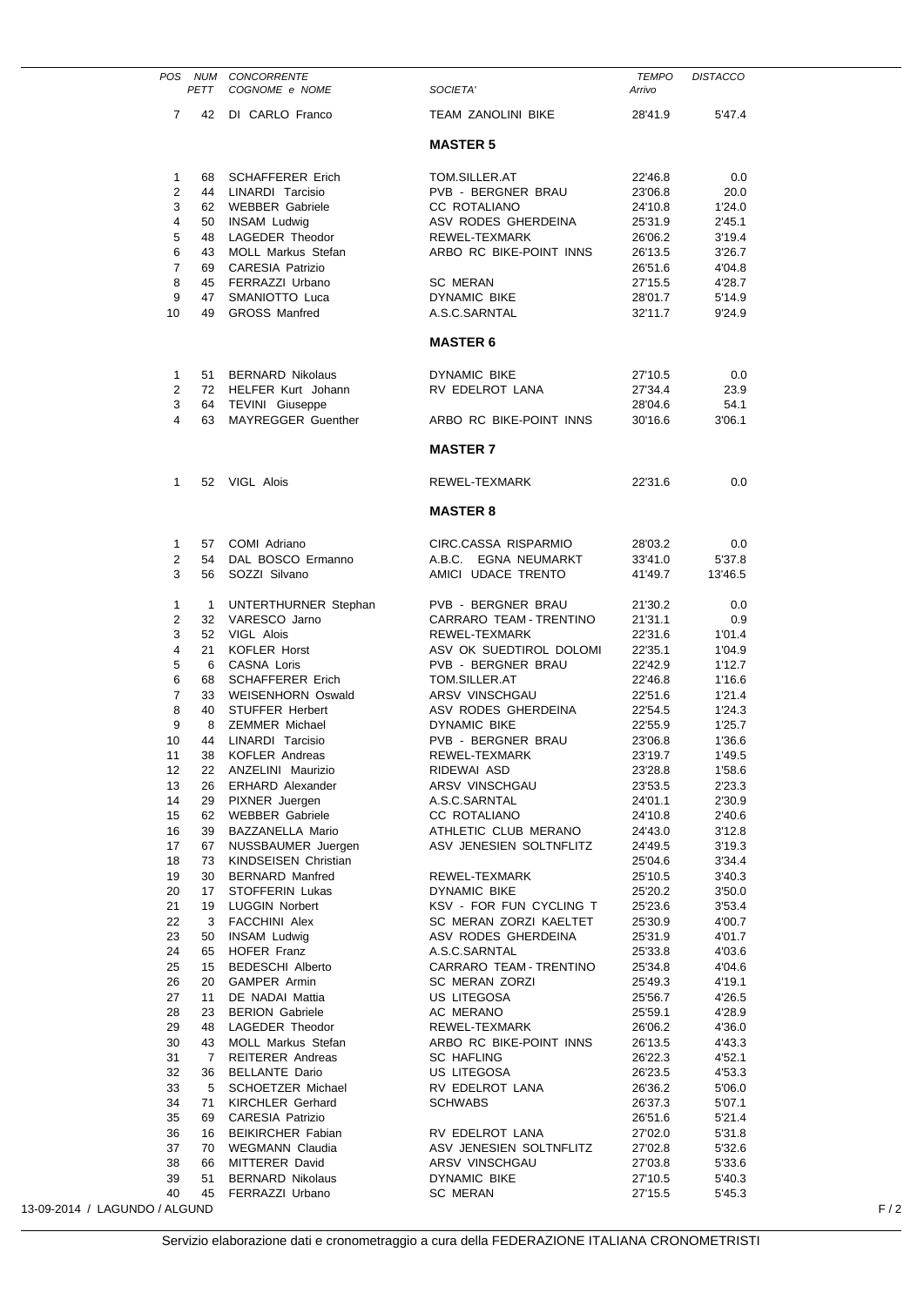|                               |              | POS NUM CONCORRENTE                              |                                               | <b>TEMPO</b>       | <b>DISTACCO</b>  |     |
|-------------------------------|--------------|--------------------------------------------------|-----------------------------------------------|--------------------|------------------|-----|
|                               | PETT         | COGNOME e NOME                                   | SOCIETA'                                      | Arrivo             |                  |     |
| $\overline{7}$                |              | 42 DI CARLO Franco                               | TEAM ZANOLINI BIKE                            | 28'41.9            | 5'47.4           |     |
|                               |              |                                                  | <b>MASTER 5</b>                               |                    |                  |     |
| $\mathbf{1}$                  | 68 -         | SCHAFFERER Erich                                 | TOM.SILLER.AT                                 | 22'46.8            | 0.0              |     |
| $\overline{2}$                | 44           | LINARDI Tarcisio                                 | PVB - BERGNER BRAU                            | 23'06.8            | 20.0             |     |
| 3                             |              | 62 WEBBER Gabriele                               | CC ROTALIANO                                  | 24'10.8            | 1'24.0           |     |
| 4                             | 50           | INSAM Ludwig                                     | ASV RODES GHERDEINA                           | 25'31.9            | 2'45.1           |     |
| 5<br>6                        | 48<br>43     | LAGEDER Theodor<br>MOLL Markus Stefan            | REWEL-TEXMARK<br>ARBO RC BIKE-POINT INNS      | 26'06.2<br>26'13.5 | 3'19.4<br>3'26.7 |     |
| $\overline{7}$                |              | 69 CARESIA Patrizio                              |                                               | 26'51.6            | 4'04.8           |     |
| 8                             |              | 45 FERRAZZI Urbano                               | <b>SC MERAN</b>                               | 27'15.5            | 4'28.7           |     |
| 9                             | 47           | SMANIOTTO Luca                                   | DYNAMIC BIKE                                  | 28'01.7            | 5'14.9           |     |
| 10                            | 49           | <b>GROSS Manfred</b>                             | A.S.C.SARNTAL                                 | 32'11.7            | 9'24.9           |     |
|                               |              |                                                  | <b>MASTER 6</b>                               |                    |                  |     |
| $\mathbf{1}$                  |              | 51 BERNARD Nikolaus                              | DYNAMIC BIKE                                  | 27'10.5            | 0.0              |     |
| 2                             |              | 72 HELFER Kurt Johann                            | RV EDELROT LANA                               | 27'34.4            | 23.9             |     |
| 3                             |              | 64 TEVINI Giuseppe                               |                                               | 28'04.6            | 54.1             |     |
| 4                             |              | 63 MAYREGGER Guenther                            | ARBO RC BIKE-POINT INNS                       | 30'16.6            | 3'06.1           |     |
|                               |              |                                                  | <b>MASTER 7</b>                               |                    |                  |     |
| $\mathbf{1}$                  |              | 52 VIGL Alois                                    | REWEL-TEXMARK                                 | 22'31.6            | 0.0              |     |
|                               |              |                                                  | <b>MASTER 8</b>                               |                    |                  |     |
| $\mathbf{1}$                  |              | 57 COMI Adriano                                  | CIRC.CASSA RISPARMIO                          | 28'03.2            | 0.0              |     |
| $\overline{2}$                |              | 54 DAL BOSCO Ermanno                             | A.B.C. EGNA NEUMARKT                          | 33'41.0            | 5'37.8           |     |
| 3                             |              | 56 SOZZI Silvano                                 | AMICI UDACE TRENTO                            | 41'49.7            | 13'46.5          |     |
| $\mathbf{1}$                  | $\mathbf{1}$ | UNTERTHURNER Stephan                             | PVB - BERGNER BRAU                            | 21'30.2            | 0.0              |     |
| $\overline{c}$                |              | 32 VARESCO Jarno                                 | CARRARO TEAM - TRENTINO                       | 21'31.1            | 0.9              |     |
| 3                             |              | 52 VIGL Alois                                    | REWEL-TEXMARK                                 | 22'31.6            | 1'01.4           |     |
| 4                             | 21           | KOFLER Horst                                     | ASV OK SUEDTIROL DOLOMI                       | 22'35.1            | 1'04.9           |     |
| 5<br>6                        | 6<br>68      | CASNA Loris<br><b>SCHAFFERER Erich</b>           | PVB - BERGNER BRAU<br>TOM.SILLER.AT           | 22'42.9<br>22'46.8 | 1'12.7<br>1'16.6 |     |
| 7                             | 33           | WEISENHORN Oswald                                | ARSV VINSCHGAU                                | 22'51.6            | 1'21.4           |     |
| 8                             | 40           | <b>STUFFER Herbert</b>                           | ASV RODES GHERDEINA                           | 22'54.5            | 1'24.3           |     |
| 9                             | 8            | <b>ZEMMER Michael</b>                            | <b>DYNAMIC BIKE</b>                           | 22'55.9            | 1'25.7           |     |
| 10                            | 44           | LINARDI Tarcisio                                 | PVB - BERGNER BRAU                            | 23'06.8            | 1'36.6           |     |
| 11                            | 38           | <b>KOFLER Andreas</b>                            | REWEL-TEXMARK                                 | 23'19.7            | 1'49.5           |     |
| 12                            | 22           | ANZELINI Maurizio                                | RIDEWAI ASD                                   | 23'28.8            | 1'58.6           |     |
| 13<br>14                      | 26<br>29     | <b>ERHARD Alexander</b><br>PIXNER Juergen        | ARSV VINSCHGAU                                | 23'53.5<br>24'01.1 | 2'23.3<br>2'30.9 |     |
| 15                            | 62           | <b>WEBBER Gabriele</b>                           | A.S.C.SARNTAL<br>CC ROTALIANO                 | 24'10.8            | 2'40.6           |     |
| 16                            | 39           | BAZZANELLA Mario                                 | ATHLETIC CLUB MERANO                          | 24'43.0            | 3'12.8           |     |
| 17                            | 67           | NUSSBAUMER Juergen                               | ASV JENESIEN SOLTNFLITZ                       | 24'49.5            | 3'19.3           |     |
| 18                            | 73           | <b>KINDSEISEN Christian</b>                      |                                               | 25'04.6            | 3'34.4           |     |
| 19                            | 30           | <b>BERNARD Manfred</b>                           | REWEL-TEXMARK                                 | 25'10.5            | 3'40.3           |     |
| 20                            | 17           | STOFFERIN Lukas                                  | DYNAMIC BIKE                                  | 25'20.2            | 3'50.0           |     |
| 21                            | 19           | <b>LUGGIN Norbert</b>                            | KSV - FOR FUN CYCLING T                       | 25'23.6            | 3'53.4           |     |
| 22<br>23                      | 3<br>50      | <b>FACCHINI Alex</b><br><b>INSAM Ludwig</b>      | SC MERAN ZORZI KAELTET<br>ASV RODES GHERDEINA | 25'30.9<br>25'31.9 | 4'00.7<br>4'01.7 |     |
| 24                            | 65           | HOFER Franz                                      | A.S.C.SARNTAL                                 | 25'33.8            | 4'03.6           |     |
| 25                            | 15           | <b>BEDESCHI Alberto</b>                          | CARRARO TEAM - TRENTINO                       | 25'34.8            | 4'04.6           |     |
| 26                            | 20           | <b>GAMPER Armin</b>                              | SC MERAN ZORZI                                | 25'49.3            | 4'19.1           |     |
| 27                            | 11           | DE NADAI Mattia                                  | US LITEGOSA                                   | 25'56.7            | 4'26.5           |     |
| 28                            | 23           | <b>BERION Gabriele</b>                           | AC MERANO                                     | 25'59.1            | 4'28.9           |     |
| 29                            | 48           | LAGEDER Theodor                                  | REWEL-TEXMARK                                 | 26'06.2            | 4'36.0           |     |
| 30                            | 43           | MOLL Markus Stefan                               | ARBO RC BIKE-POINT INNS                       | 26'13.5            | 4'43.3           |     |
| 31<br>32                      | 7<br>36      | <b>REITERER Andreas</b><br><b>BELLANTE Dario</b> | <b>SC HAFLING</b><br>US LITEGOSA              | 26'22.3<br>26'23.5 | 4'52.1<br>4'53.3 |     |
| 33                            | 5            | SCHOETZER Michael                                | RV EDELROT LANA                               | 26'36.2            | 5'06.0           |     |
| 34                            | 71           | <b>KIRCHLER Gerhard</b>                          | <b>SCHWABS</b>                                | 26'37.3            | 5'07.1           |     |
| 35                            | 69           | <b>CARESIA Patrizio</b>                          |                                               | 26'51.6            | 5'21.4           |     |
| 36                            | 16           | <b>BEIKIRCHER Fabian</b>                         | RV EDELROT LANA                               | 27'02.0            | 5'31.8           |     |
| 37                            | 70           | WEGMANN Claudia                                  | ASV JENESIEN SOLTNFLITZ                       | 27'02.8            | 5'32.6           |     |
| 38                            | 66           | MITTERER David                                   | ARSV VINSCHGAU                                | 27'03.8            | 5'33.6           |     |
| 39<br>40                      | 51<br>45     | <b>BERNARD Nikolaus</b><br>FERRAZZI Urbano       | <b>DYNAMIC BIKE</b><br>SC MERAN               | 27'10.5<br>27'15.5 | 5'40.3<br>5'45.3 |     |
| 13-09-2014 / LAGUNDO / ALGUND |              |                                                  |                                               |                    |                  | F/2 |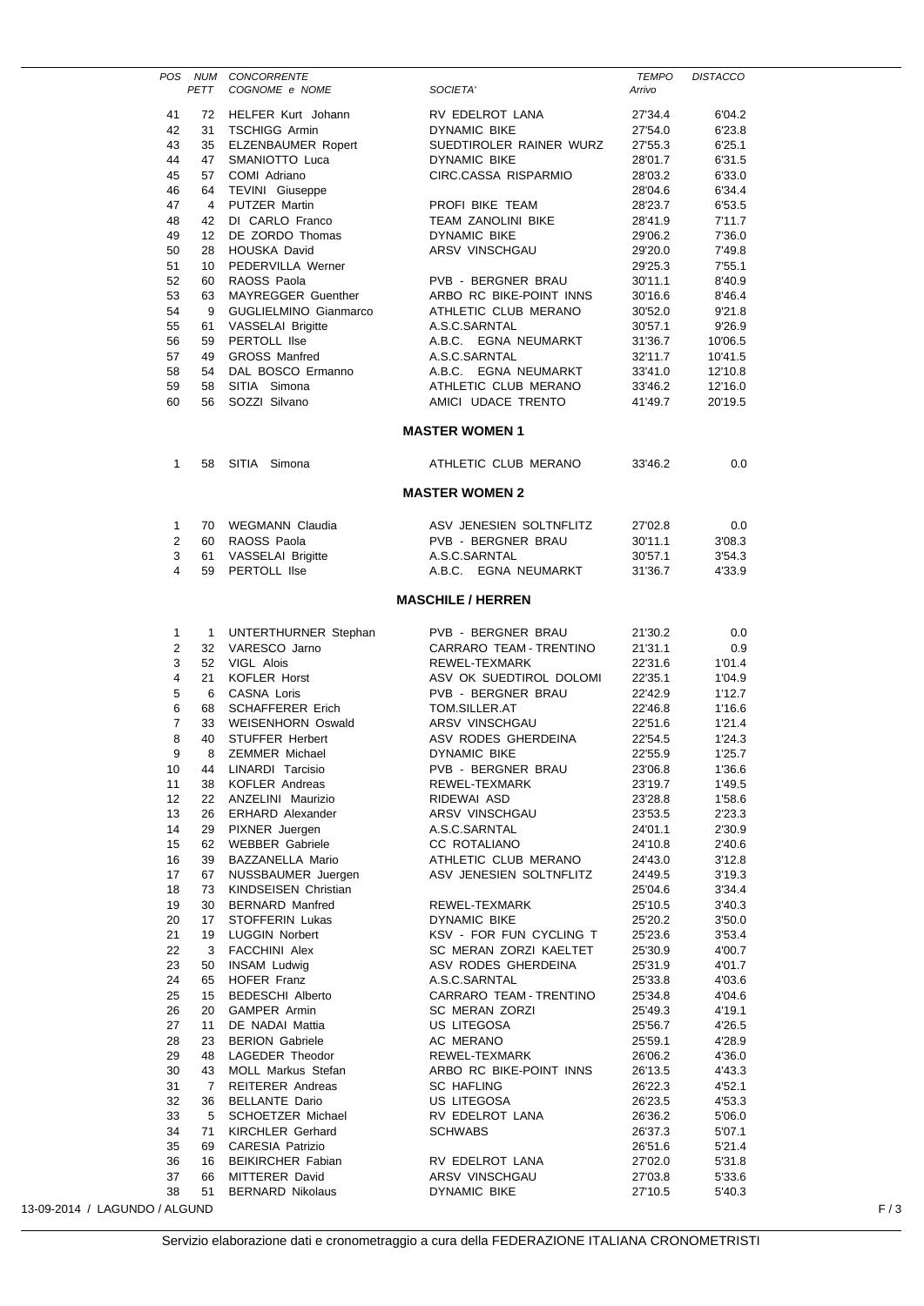|                                |              | POS NUM CONCORRENTE                                |                                                 | <b>TEMPO</b>       | <b>DISTACCO</b>  |     |
|--------------------------------|--------------|----------------------------------------------------|-------------------------------------------------|--------------------|------------------|-----|
|                                | PETT         | COGNOME e NOME                                     | SOCIETA'                                        | Arrivo             |                  |     |
| 41                             |              | 72 HELFER Kurt Johann                              | RV EDELROT LANA                                 | 27'34.4            | 6'04.2           |     |
| 42                             |              | 31 TSCHIGG Armin                                   | DYNAMIC BIKE                                    | 27'54.0            | 6'23.8           |     |
| 43                             |              | 35 ELZENBAUMER Ropert                              | SUEDTIROLER RAINER WURZ                         | 27'55.3            | 6'25.1           |     |
| 44                             |              | 47 SMANIOTTO Luca                                  | DYNAMIC BIKE                                    | 28'01.7            | 6'31.5           |     |
| 45                             |              | 57 COMI Adriano                                    | CIRC.CASSA RISPARMIO                            | 28'03.2            | 6'33.0           |     |
| 46                             |              | 64 TEVINI Giuseppe                                 |                                                 | 28'04.6            | 6'34.4           |     |
| 47                             | 4            | PUTZER Martin                                      | PROFI BIKE TEAM                                 | 28'23.7            | 6'53.5           |     |
| 48                             |              | 42 DI CARLO Franco                                 | <b>TEAM ZANOLINI BIKE</b>                       | 28'41.9            | 7'11.7           |     |
| 49                             |              | 12 DE ZORDO Thomas                                 | DYNAMIC BIKE                                    | 29'06.2            | 7'36.0           |     |
| 50                             |              | 28 HOUSKA David                                    | ARSV VINSCHGAU                                  | 29'20.0            | 7'49.8           |     |
| 51                             |              | 10 PEDERVILLA Werner                               |                                                 | 29'25.3            | 7'55.1           |     |
| 52<br>53                       |              | 60 RAOSS Paola                                     | PVB - BERGNER BRAU                              | 30'11.1            | 8'40.9           |     |
| 54                             | 9            | 63 MAYREGGER Guenther<br>GUGLIELMINO Gianmarco     | ARBO RC BIKE-POINT INNS<br>ATHLETIC CLUB MERANO | 30'16.6<br>30'52.0 | 8'46.4<br>9'21.8 |     |
| 55                             |              | 61 VASSELAI Brigitte                               | A.S.C.SARNTAL                                   | 30'57.1            | 9'26.9           |     |
| 56                             |              | 59 PERTOLL IIse                                    | A.B.C. EGNA NEUMARKT                            | 31'36.7            | 10'06.5          |     |
| 57                             | 49           | <b>GROSS Manfred</b>                               | A.S.C.SARNTAL                                   | 32'11.7            | 10'41.5          |     |
| 58                             |              | 54 DAL BOSCO Ermanno                               | A.B.C. EGNA NEUMARKT                            | 33'41.0            | 12'10.8          |     |
| 59                             | 58           | SITIA Simona                                       | ATHLETIC CLUB MERANO                            | 33'46.2            | 12'16.0          |     |
| 60                             | 56           | SOZZI Silvano                                      | AMICI UDACE TRENTO                              | 41'49.7            | 20'19.5          |     |
|                                |              |                                                    | <b>MASTER WOMEN 1</b>                           |                    |                  |     |
|                                |              |                                                    |                                                 |                    |                  |     |
| $\mathbf{1}$                   |              | 58 SITIA Simona                                    | ATHLETIC CLUB MERANO                            | 33'46.2            | 0.0              |     |
|                                |              |                                                    | <b>MASTER WOMEN 2</b>                           |                    |                  |     |
| $\mathbf{1}$                   |              | 70 WEGMANN Claudia                                 | ASV JENESIEN SOLTNFLITZ                         | 27'02.8            | 0.0              |     |
| $\overline{2}$                 |              | 60 RAOSS Paola                                     | PVB - BERGNER BRAU                              | 30'11.1            | 3'08.3           |     |
| 3                              |              | 61 VASSELAI Brigitte                               | A.S.C.SARNTAL                                   | 30'57.1            | 3'54.3           |     |
| 4                              | 59           | PERTOLL IIse                                       | A.B.C. EGNA NEUMARKT                            | 31'36.7            | 4'33.9           |     |
|                                |              |                                                    | <b>MASCHILE / HERREN</b>                        |                    |                  |     |
|                                |              |                                                    |                                                 |                    |                  |     |
| $\mathbf{1}$<br>$\overline{2}$ | $\mathbf{1}$ | UNTERTHURNER Stephan<br>32 VARESCO Jarno           | PVB - BERGNER BRAU<br>CARRARO TEAM - TRENTINO   | 21'30.2<br>21'31.1 | 0.0              |     |
| 3                              |              | 52 VIGL Alois                                      | REWEL-TEXMARK                                   | 22'31.6            | 0.9<br>1'01.4    |     |
| 4                              | 21           | KOFLER Horst                                       | ASV OK SUEDTIROL DOLOMI                         | 22'35.1            | 1'04.9           |     |
| 5                              | 6            | CASNA Loris                                        | PVB - BERGNER BRAU                              | 22'42.9            | 1'12.7           |     |
| 6                              |              | 68 SCHAFFERER Erich                                | TOM.SILLER.AT                                   | 22'46.8            | 1'16.6           |     |
| $\overline{7}$                 |              | 33 WEISENHORN Oswald                               | ARSV VINSCHGAU                                  | 22'51.6            | 1'21.4           |     |
| 8                              | 40           | <b>STUFFER Herbert</b>                             | ASV RODES GHERDEINA                             | 22'54.5            | 1'24.3           |     |
| 9                              | 8            | <b>ZEMMER Michael</b>                              | <b>DYNAMIC BIKE</b>                             | 22'55.9            | 1'25.7           |     |
| 10                             | 44           | LINARDI Tarcisio                                   | PVB - BERGNER BRAU                              | 23'06.8            | 1'36.6           |     |
| 11                             | 38           | KOFLER Andreas                                     | REWEL-TEXMARK                                   | 23'19.7            | 1'49.5           |     |
| 12                             | 22           | ANZELINI Maurizio                                  | RIDEWAI ASD                                     | 23'28.8            | 1'58.6           |     |
| 13                             | 26           | <b>ERHARD Alexander</b>                            | ARSV VINSCHGAU                                  | 23'53.5            | 2'23.3           |     |
| 14                             | 29           | PIXNER Juergen                                     | A.S.C.SARNTAL                                   | 24'01.1            | 2'30.9           |     |
| 15                             | 62           | <b>WEBBER Gabriele</b>                             | CC ROTALIANO                                    | 24'10.8            | 2'40.6           |     |
| 16                             | 39           | BAZZANELLA Mario                                   | ATHLETIC CLUB MERANO                            | 24'43.0            | 3'12.8           |     |
| 17                             | 67           | NUSSBAUMER Juergen                                 | ASV JENESIEN SOLTNFLITZ                         | 24'49.5            | 3'19.3           |     |
| 18                             | 73           | KINDSEISEN Christian                               |                                                 | 25'04.6            | 3'34.4           |     |
| 19                             | 30           | <b>BERNARD Manfred</b>                             | REWEL-TEXMARK                                   | 25'10.5            | 3'40.3           |     |
| 20<br>21                       | 17<br>19     | STOFFERIN Lukas<br><b>LUGGIN Norbert</b>           | DYNAMIC BIKE<br>KSV - FOR FUN CYCLING T         | 25'20.2<br>25'23.6 | 3'50.0<br>3'53.4 |     |
| 22                             | 3            | <b>FACCHINI Alex</b>                               | SC MERAN ZORZI KAELTET                          | 25'30.9            | 4'00.7           |     |
| 23                             | 50           | <b>INSAM Ludwig</b>                                | ASV RODES GHERDEINA                             | 25'31.9            | 4'01.7           |     |
| 24                             | 65           | HOFER Franz                                        | A.S.C.SARNTAL                                   | 25'33.8            | 4'03.6           |     |
| 25                             | 15           | <b>BEDESCHI Alberto</b>                            | CARRARO TEAM - TRENTINO                         | 25'34.8            | 4'04.6           |     |
| 26                             | 20           | GAMPER Armin                                       | SC MERAN ZORZI                                  | 25'49.3            | 4'19.1           |     |
| 27                             | 11           | DE NADAI Mattia                                    | US LITEGOSA                                     | 25'56.7            | 4'26.5           |     |
| 28                             | 23           | <b>BERION Gabriele</b>                             | AC MERANO                                       | 25'59.1            | 4'28.9           |     |
| 29                             | 48           | LAGEDER Theodor                                    | REWEL-TEXMARK                                   | 26'06.2            | 4'36.0           |     |
| 30                             | 43           | MOLL Markus Stefan                                 | ARBO RC BIKE-POINT INNS                         | 26'13.5            | 4'43.3           |     |
| 31                             | 7            | <b>REITERER Andreas</b>                            | <b>SC HAFLING</b>                               | 26'22.3            | 4'52.1           |     |
| 32                             | 36           | <b>BELLANTE Dario</b>                              | US LITEGOSA                                     | 26'23.5            | 4'53.3           |     |
| 33                             | 5            | SCHOETZER Michael                                  | RV EDELROT LANA                                 | 26'36.2            | 5'06.0           |     |
| 34<br>35                       | 71<br>69     | <b>KIRCHLER Gerhard</b><br><b>CARESIA Patrizio</b> | <b>SCHWABS</b>                                  | 26'37.3<br>26'51.6 | 5'07.1<br>5'21.4 |     |
| 36                             | 16           | <b>BEIKIRCHER Fabian</b>                           | RV EDELROT LANA                                 | 27'02.0            | 5'31.8           |     |
| 37                             | 66           | MITTERER David                                     | ARSV VINSCHGAU                                  | 27'03.8            | 5'33.6           |     |
| 38                             | 51           | <b>BERNARD Nikolaus</b>                            | DYNAMIC BIKE                                    | 27'10.5            | 5'40.3           |     |
| 13-09-2014 / LAGUNDO / ALGUND  |              |                                                    |                                                 |                    |                  | F/3 |